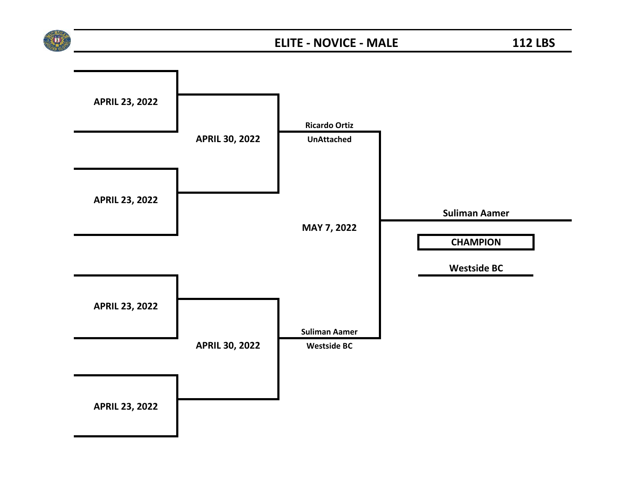

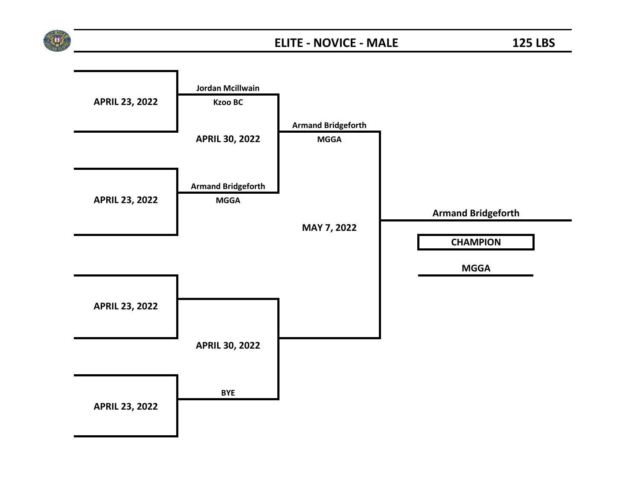

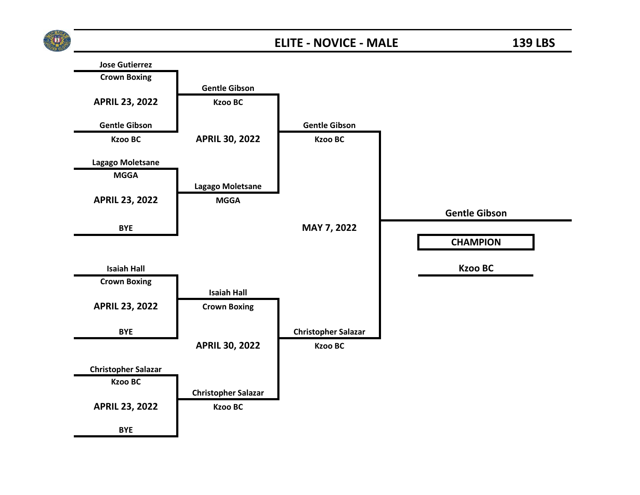

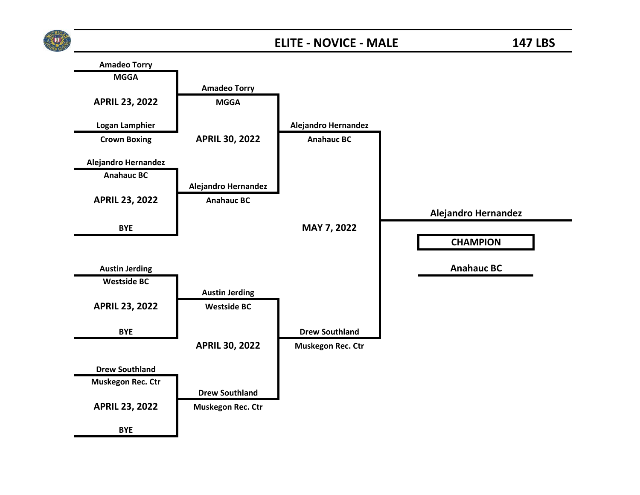

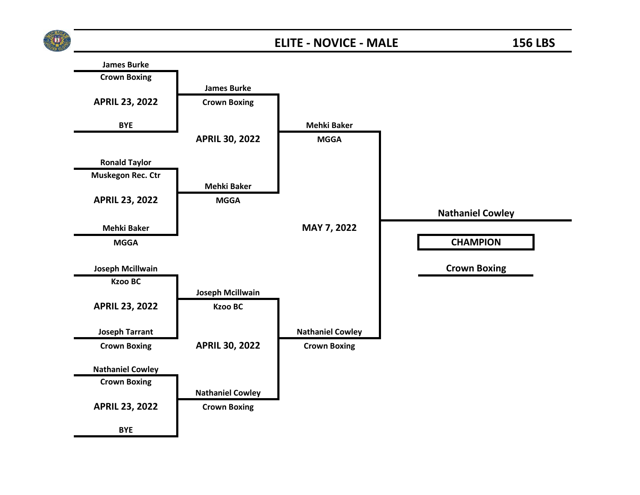

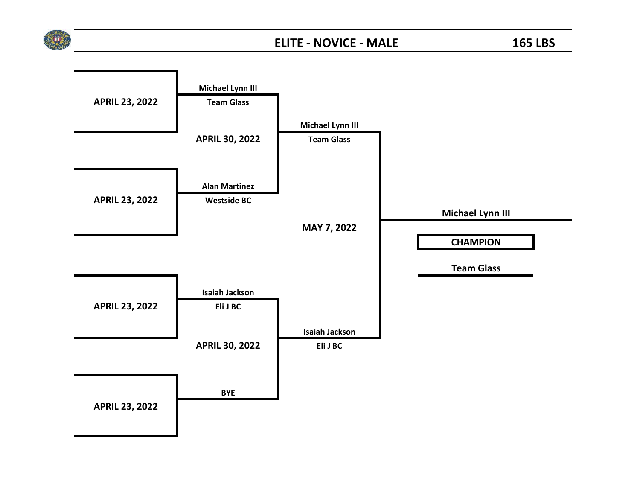

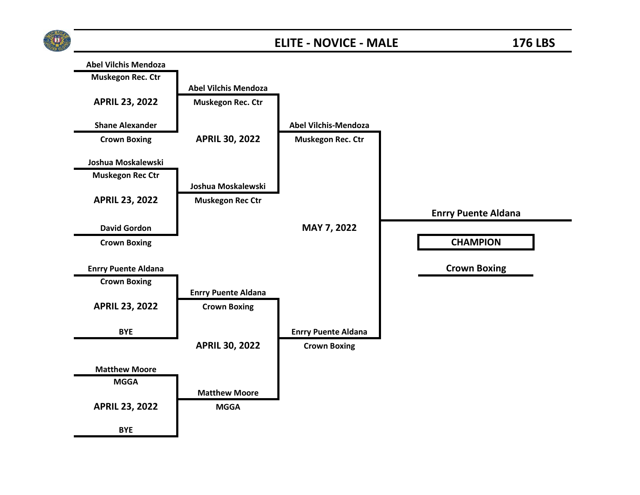

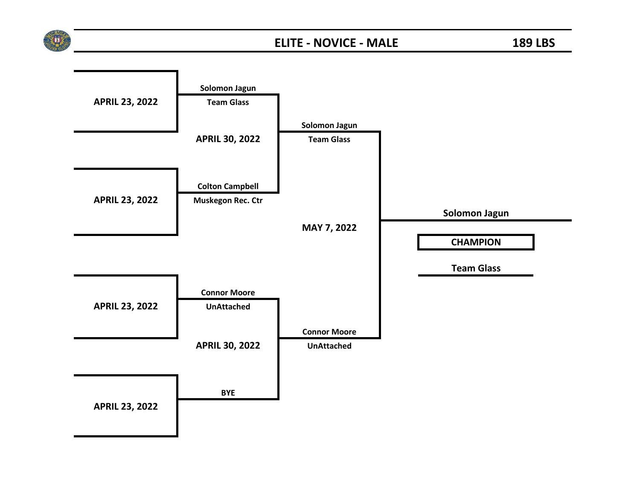

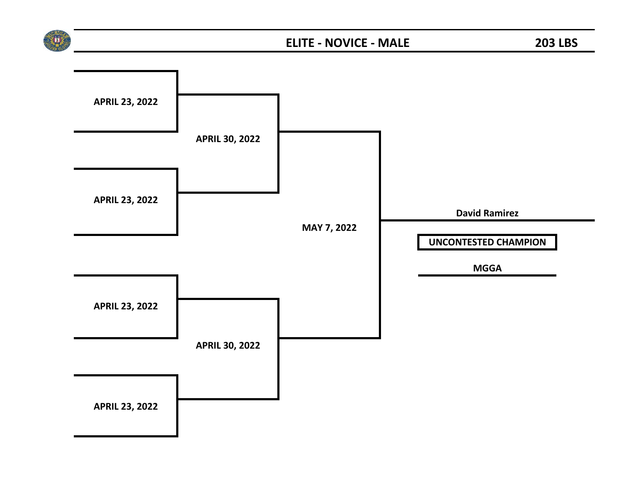

## **ELITE - NOVICE - MALE 203 LBS**

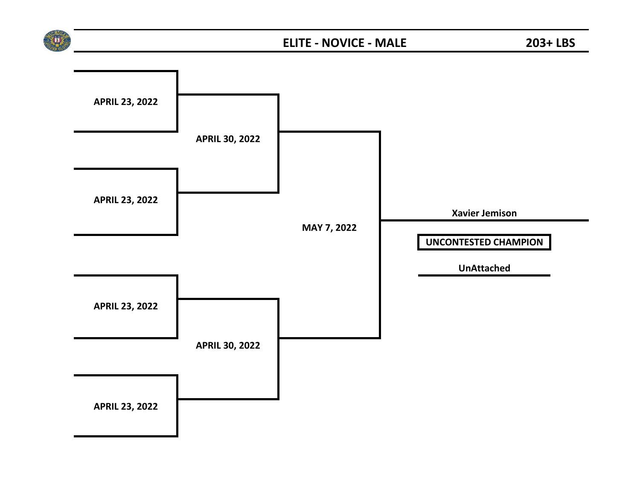

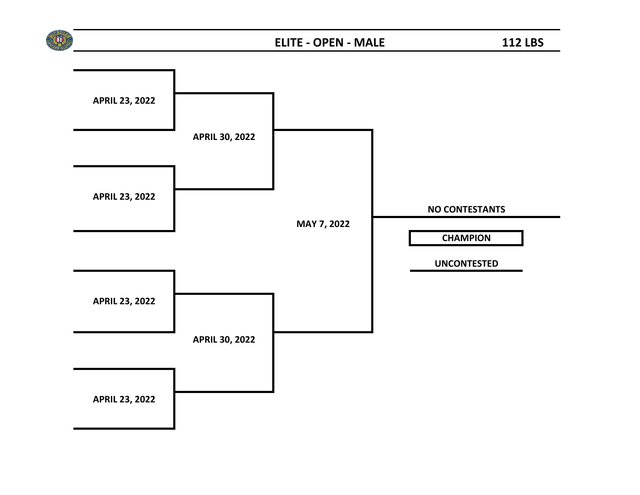

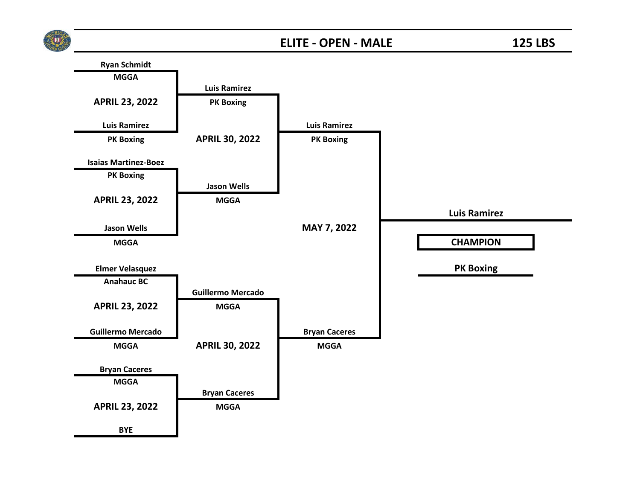

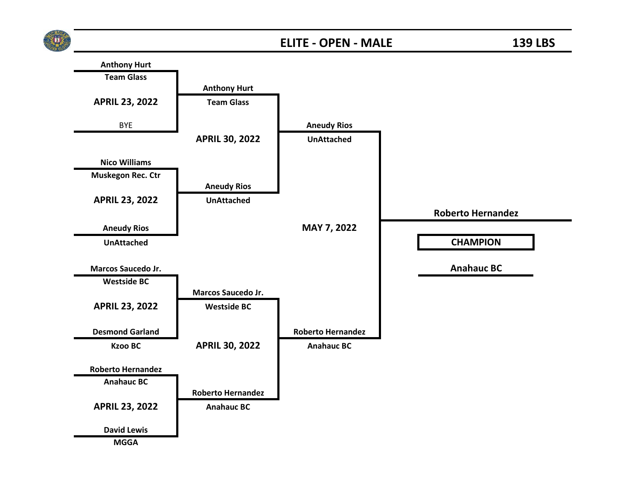

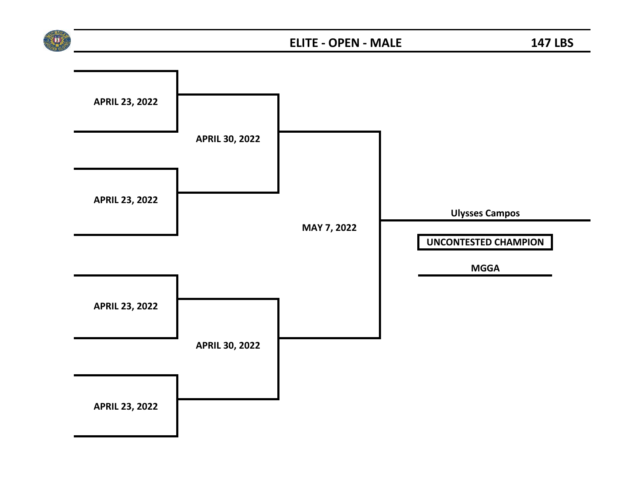

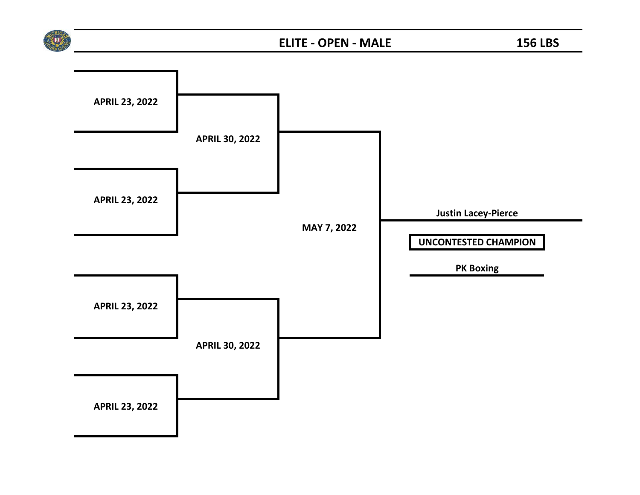

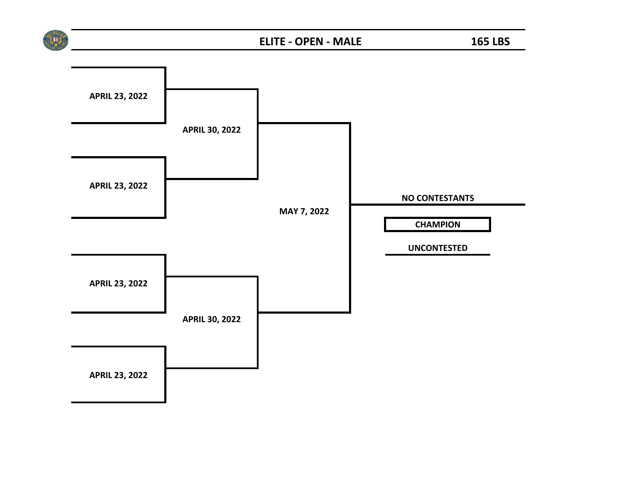

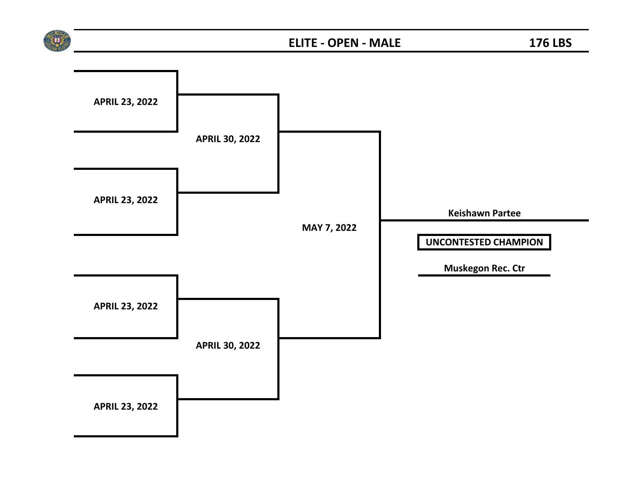

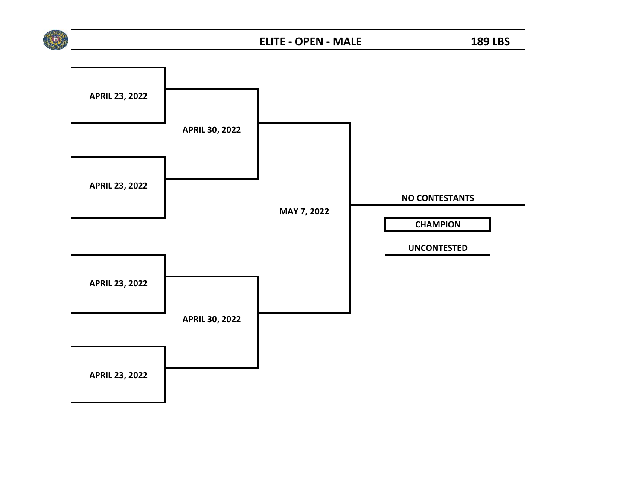

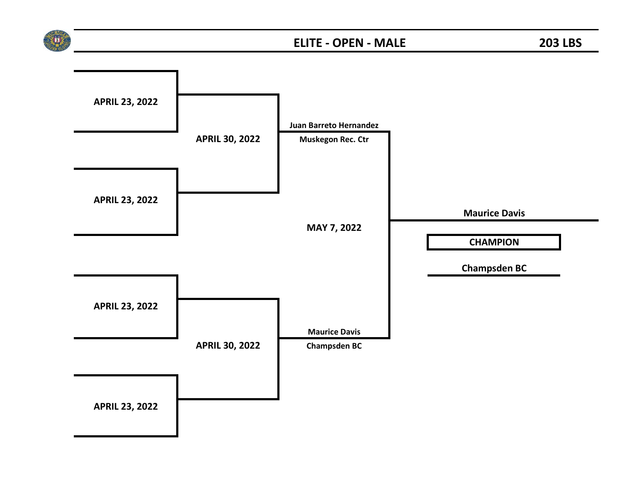

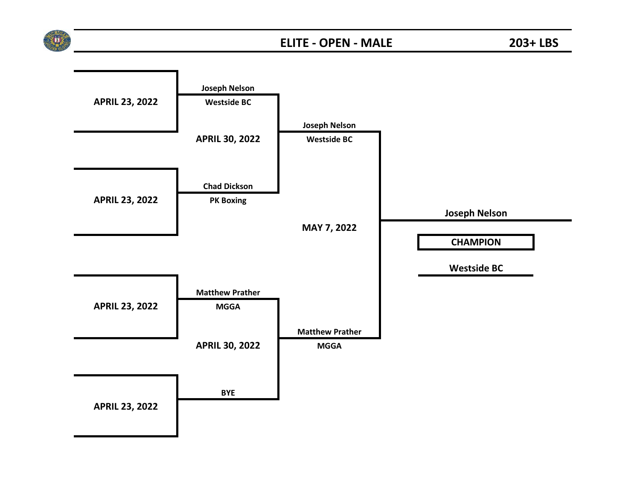

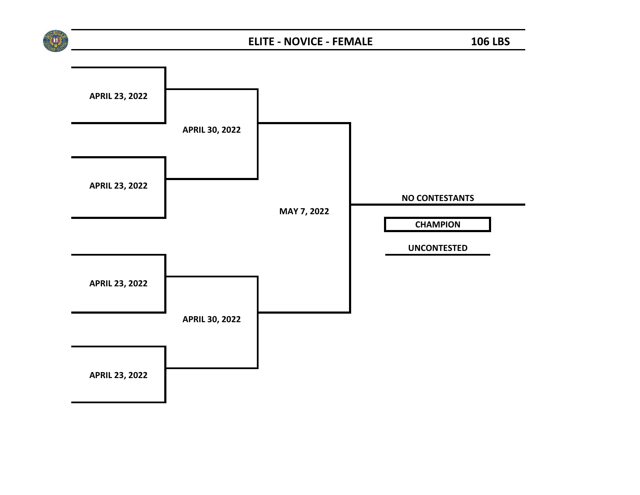

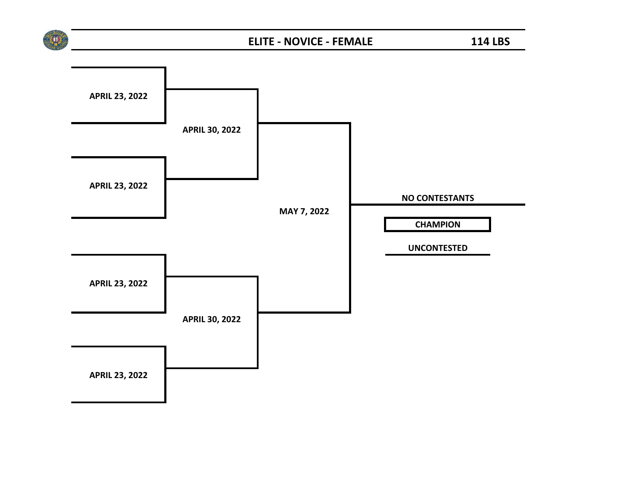

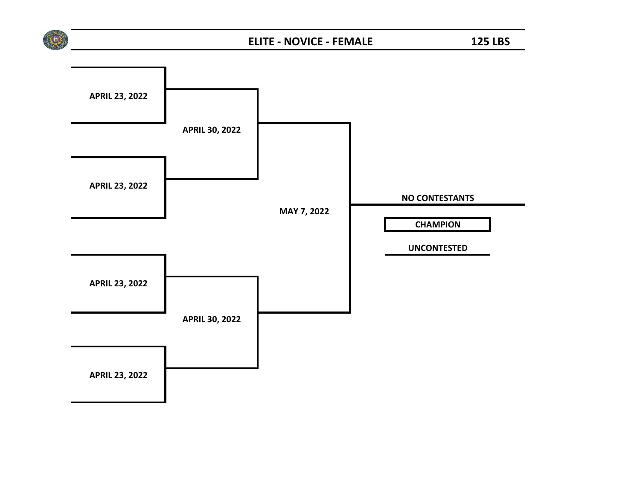

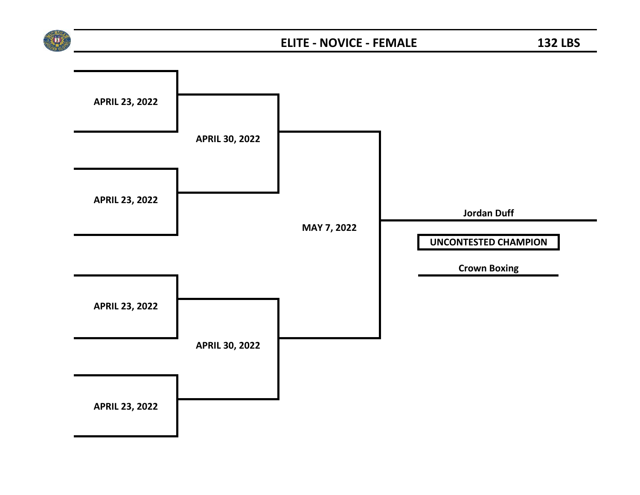

## **ELITE - NOVICE - FEMALE 132 LBS**

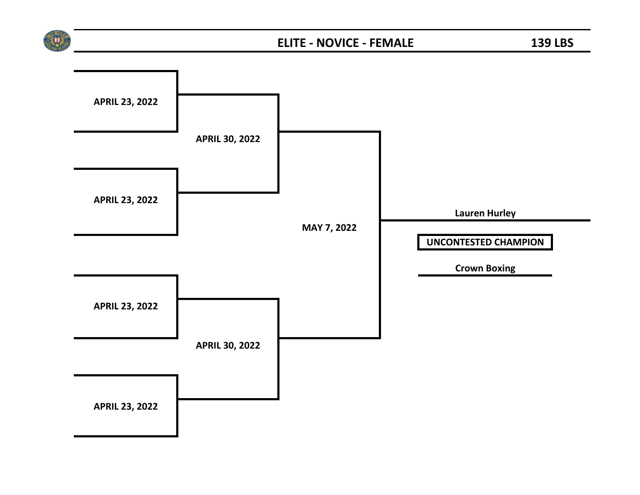

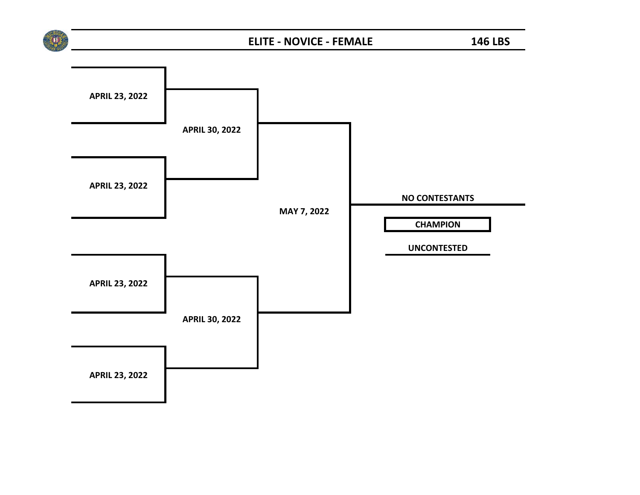

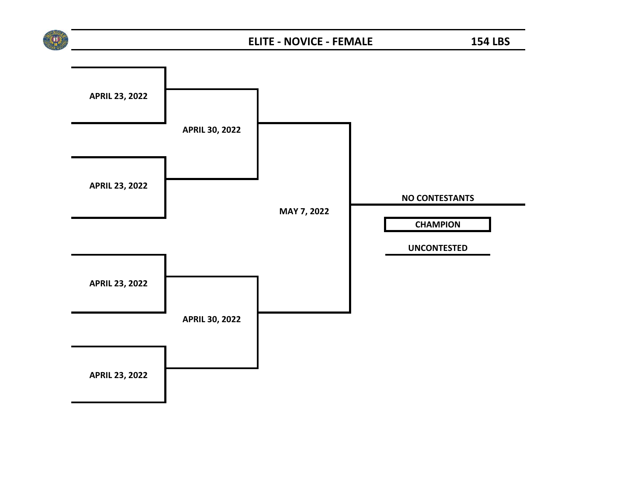

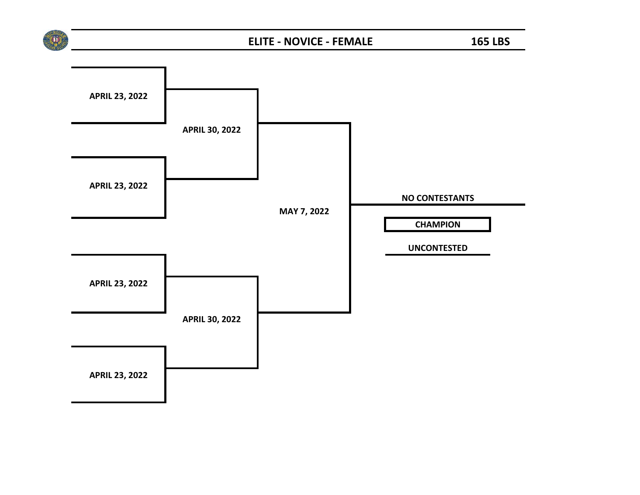

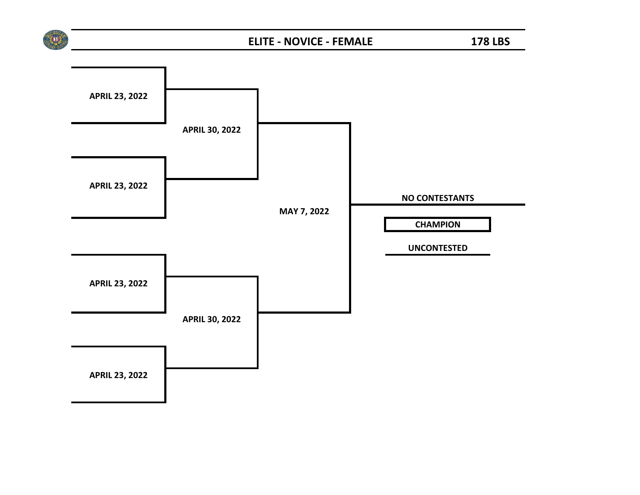

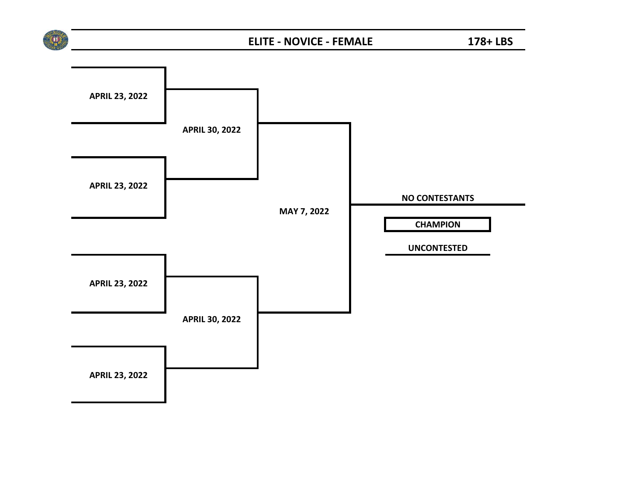

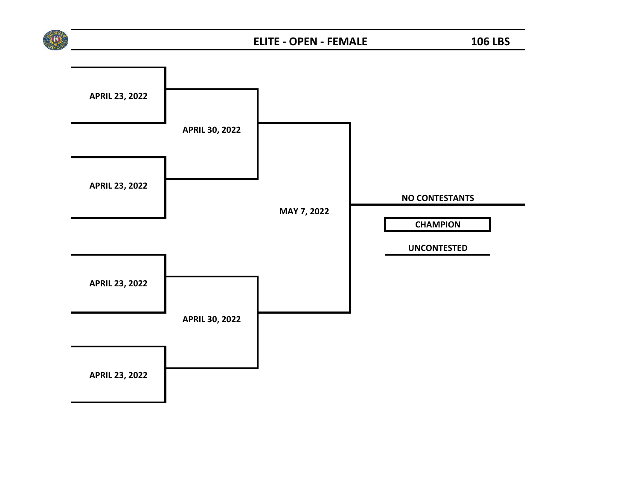

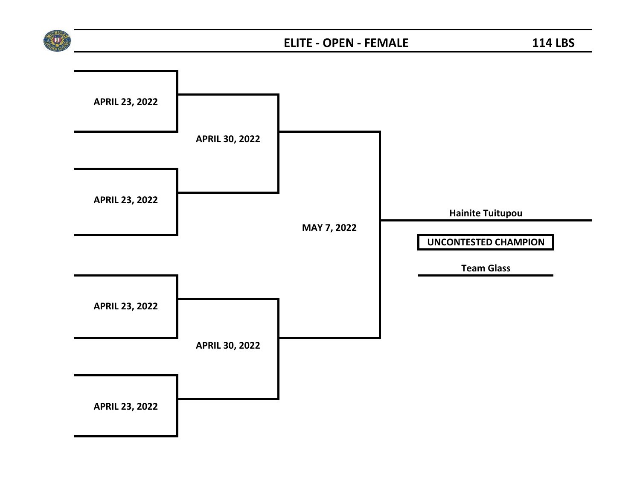

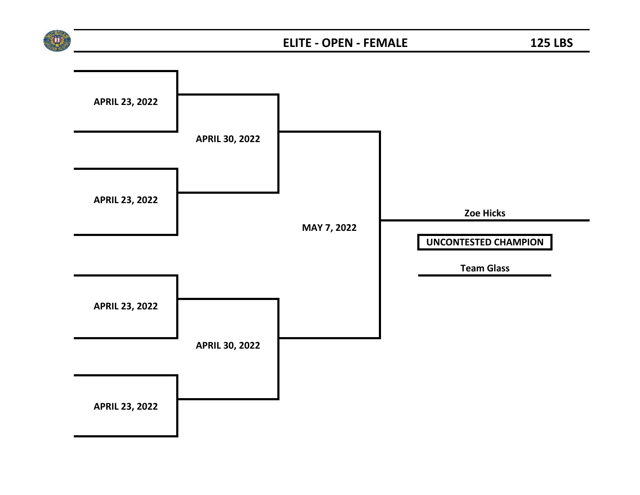

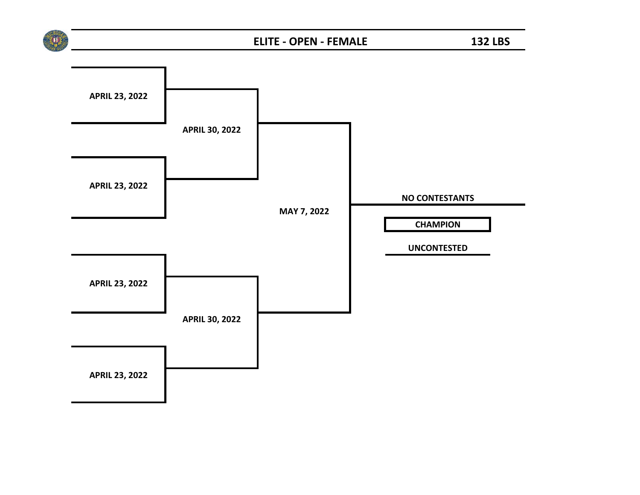

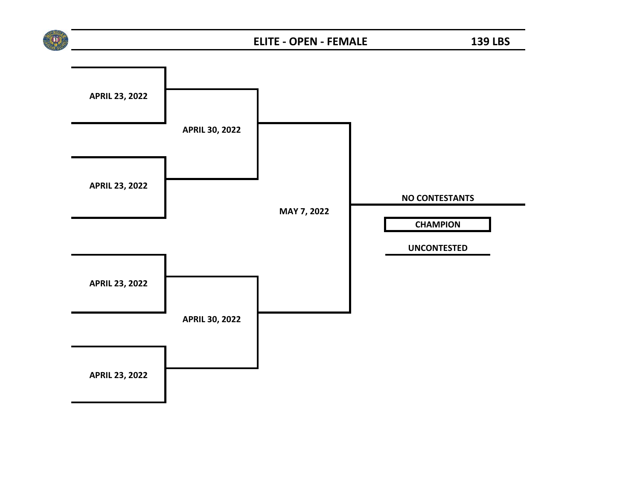

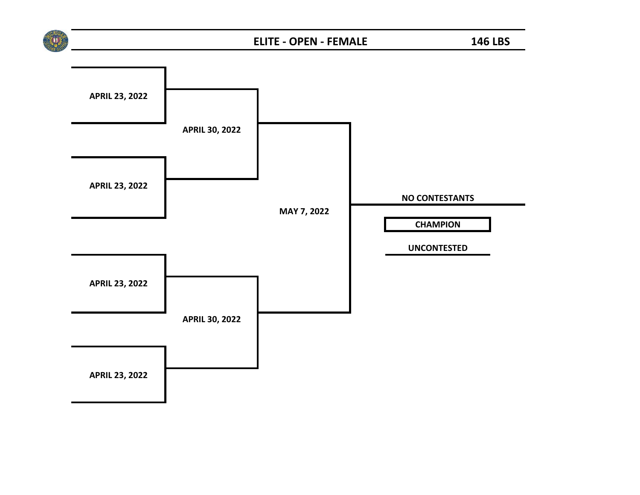

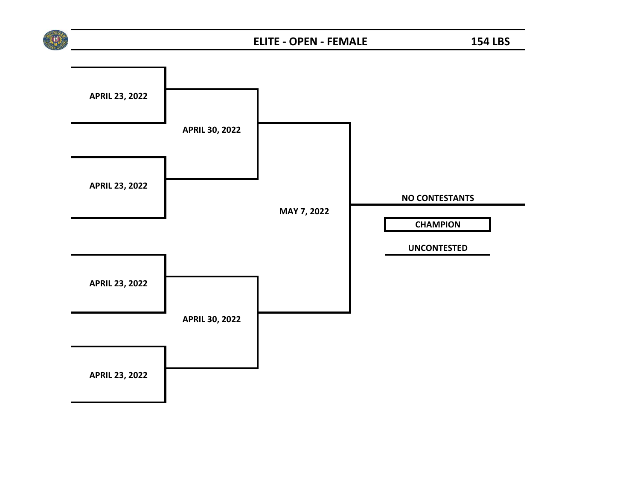

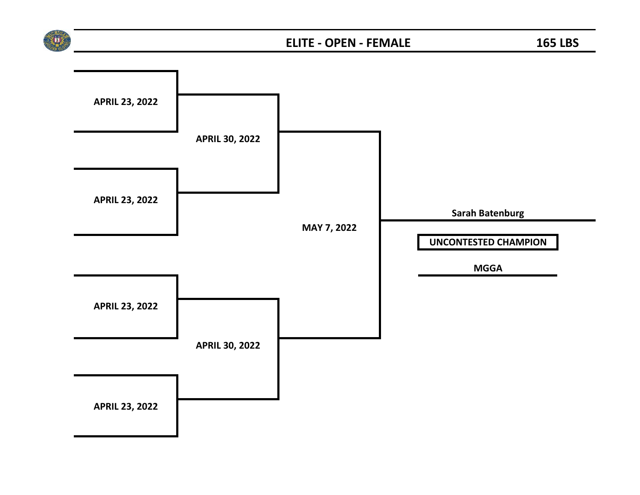

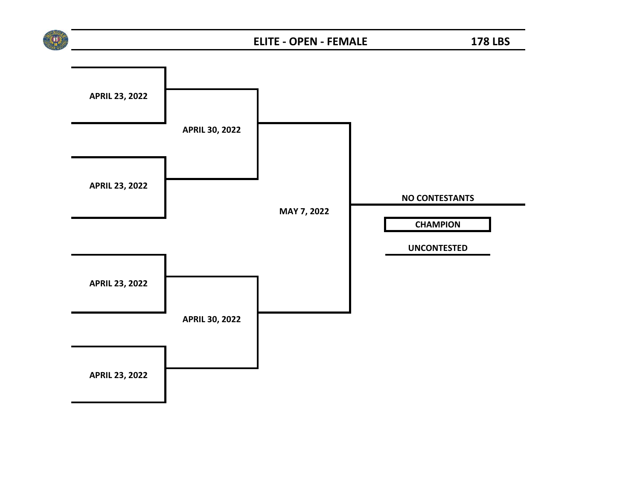